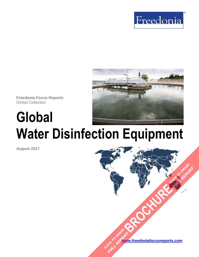



**Freedonia Focus Reports** Global Collection

# **Global Water Disinfection Equipment**

**August 2017**

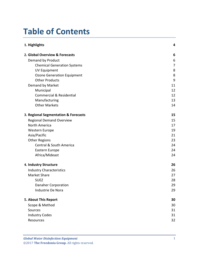# **Table of Contents**

| 1. Highlights                        |    |  |
|--------------------------------------|----|--|
| 2. Global Overview & Forecasts       | 6  |  |
| Demand by Product                    | 6  |  |
| <b>Chemical Generation Systems</b>   | 7  |  |
| <b>UV Equipment</b>                  | 8  |  |
| <b>Ozone Generation Equipment</b>    | 8  |  |
| <b>Other Products</b>                | 9  |  |
| Demand by Market                     | 11 |  |
| Municipal                            | 12 |  |
| <b>Commercial &amp; Residential</b>  | 12 |  |
| Manufacturing                        | 13 |  |
| <b>Other Markets</b>                 | 14 |  |
| 3. Regional Segmentation & Forecasts | 15 |  |
| <b>Regional Demand Overview</b>      | 15 |  |
| North America                        | 17 |  |
| Western Europe                       | 19 |  |
| Asia/Pacific                         | 21 |  |
| <b>Other Regions</b>                 | 23 |  |
| Central & South America              | 24 |  |
| Eastern Europe                       | 24 |  |
| Africa/Mideast                       | 24 |  |
| 4. Industry Structure                | 26 |  |
| <b>Industry Characteristics</b>      | 26 |  |
| Market Share                         | 27 |  |
| <b>SUEZ</b>                          | 28 |  |
| <b>Danaher Corporation</b>           | 29 |  |
| Industrie De Nora                    | 29 |  |
| 5. About This Report                 | 30 |  |
| Scope & Method                       | 30 |  |
| Sources                              | 31 |  |
| <b>Industry Codes</b>                | 31 |  |
| Resources                            | 32 |  |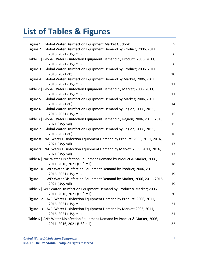# **List of Tables & Figures**

| Figure 1   Global Water Disinfection Equipment Market Outlook                                                | 5               |
|--------------------------------------------------------------------------------------------------------------|-----------------|
| Figure 2   Global Water Disinfection Equipment Demand by Product; 2006, 2011,<br>2016, 2021 (US\$ mil)       | 6               |
| Table 1   Global Water Disinfection Equipment Demand by Product; 2006, 2011,<br>2016, 2021 (US\$ mil)        | $6\phantom{1}6$ |
| Figure 3   Global Water Disinfection Equipment Demand by Product; 2006, 2011,<br>2016, 2021 (%)              | 10              |
| Figure 4   Global Water Disinfection Equipment Demand by Market; 2006, 2011,<br>2016, 2021 (US\$ mil)        | 11              |
| Table 2   Global Water Disinfection Equipment Demand by Market; 2006, 2011,<br>2016, 2021 (US\$ mil)         | 11              |
| Figure 5   Global Water Disinfection Equipment Demand by Market; 2006, 2011,<br>2016, 2021 (%)               | 14              |
| Figure 6   Global Water Disinfection Equipment Demand by Region; 2006, 2011,<br>2016, 2021 (US\$ mil)        | 15              |
| Table 3   Global Water Disinfection Equipment Demand by Region; 2006, 2011, 2016,<br>2021 (US\$ mil)         | 15              |
| Figure 7   Global Water Disinfection Equipment Demand by Region; 2006, 2011,<br>2016, 2021 (%)               | 16              |
| Figure 8   NA: Water Disinfection Equipment Demand by Product; 2006, 2011, 2016,<br>2021 (US\$ mil)          | 17              |
| Figure 9   NA: Water Disinfection Equipment Demand by Market; 2006, 2011, 2016,<br>2021 (US\$ mil)           | 17              |
| Table 4   NA: Water Disinfection Equipment Demand by Product & Market; 2006,<br>2011, 2016, 2021 (US\$ mil)  | 18              |
| Figure 10   WE: Water Disinfection Equipment Demand by Product; 2006, 2011,<br>2016, 2021 (US\$ mil)         | 19              |
| Figure 11   WE: Water Disinfection Equipment Demand by Market; 2006, 2011, 2016,<br>2021 (US\$ mil)          | 19              |
| Table 5   WE: Water Disinfection Equipment Demand by Product & Market; 2006,<br>2011, 2016, 2021 (US\$ mil)  | 20              |
| Figure 12   A/P: Water Disinfection Equipment Demand by Product; 2006, 2011,<br>2016, 2021 (US\$ mil)        | 21              |
| Figure 13   A/P: Water Disinfection Equipment Demand by Market; 2006, 2011,<br>2016, 2021 (US\$ mil)         | 21              |
| Table 6   A/P: Water Disinfection Equipment Demand by Product & Market; 2006,<br>2011, 2016, 2021 (US\$ mil) | 22              |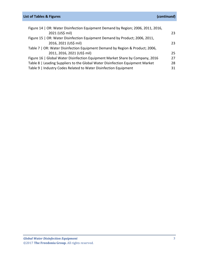# **List of Tables & Figures (***continued***)**

| Figure 14   OR: Water Disinfection Equipment Demand by Region; 2006, 2011, 2016, |    |
|----------------------------------------------------------------------------------|----|
| 2021 (US\$ mil)                                                                  | 23 |
| Figure 15   OR: Water Disinfection Equipment Demand by Product; 2006, 2011,      |    |
| 2016, 2021 (US\$ mil)                                                            | 23 |
| Table 7   OR: Water Disinfection Equipment Demand by Region & Product; 2006,     |    |
| 2011, 2016, 2021 (US\$ mil)                                                      | 25 |
| Figure 16   Global Water Disinfection Equipment Market Share by Company, 2016    | 27 |
| Table 8   Leading Suppliers to the Global Water Disinfection Equipment Market    | 28 |
| Table 9   Industry Codes Related to Water Disinfection Equipment                 | 31 |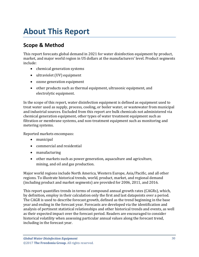# <span id="page-4-0"></span>**About This Report**

# <span id="page-4-1"></span>**Scope & Method**

This report forecasts global demand in 2021 for water disinfection equipment by product, market, and major world region in US dollars at the manufacturers' level. Product segments include:

- chemical generation systems
- ultraviolet (UV) equipment
- ozone generation equipment
- other products such as thermal equipment, ultrasonic equipment, and electrolytic equipment.

In the scope of this report, water disinfection equipment is defined as equipment used to treat water used as supply, process, cooling, or boiler water, or wastewater from municipal and industrial sources. Excluded from this report are bulk chemicals not administered via chemical generation equipment, other types of water treatment equipment such as filtration or membrane systems, and non-treatment equipment such as monitoring and metering systems.

Reported markets encompass:

- municipal
- commercial and residential
- manufacturing
- other markets such as power generation, aquaculture and agriculture, mining, and oil and gas production.

Major world regions include North America, Western Europe, Asia/Pacific, and all other regions. To illustrate historical trends, world, product, market, and regional demand (including product and market segments) are provided for 2006, 2011, and 2016.

This report quantifies trends in terms of compound annual growth rates (CAGRs), which, by definition, employ in their calculation only the first and last datapoints over a period. The CAGR is used to describe forecast growth, defined as the trend beginning in the base year and ending in the forecast year. Forecasts are developed via the identification and analysis of pertinent statistical relationships and other historical trends and events, as well as their expected impact over the forecast period. Readers are encouraged to consider historical volatility when assessing particular annual values along the forecast trend, including in the forecast year.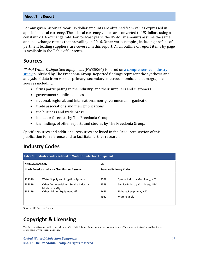#### **About This Report**

For any given historical year, US dollar amounts are obtained from values expressed in applicable local currency. These local currency values are converted to US dollars using a constant 2016 exchange rate. For forecast years, the US dollar amounts assume the same annual exchange rate as that prevailing in 2016. Other various topics, including profiles of pertinent leading suppliers, are covered in this report. A full outline of report items by page is available in the Table of Contents.

## <span id="page-5-0"></span>**Sources**

*Global Water Disinfection Equipment* (FW35066) is based on [a comprehensive industry](http://www.freedoniagroup.com/DocumentDetails.aspx?ReferrerId=FL-FOCUS&studyid=3563)  [study](http://www.freedoniagroup.com/DocumentDetails.aspx?ReferrerId=FL-FOCUS&studyid=3563) published by The Freedonia Group. Reported findings represent the synthesis and analysis of data from various primary, secondary, macroeconomic, and demographic sources including:

- firms participating in the industry, and their suppliers and customers
- government/public agencies
- national, regional, and international non-governmental organizations
- trade associations and their publications
- the business and trade press
- indicator forecasts by The Freedonia Group
- the findings of other reports and studies by The Freedonia Group.

Specific sources and additional resources are listed in the Resources section of this publication for reference and to facilitate further research.

# <span id="page-5-1"></span>**Industry Codes**

<span id="page-5-2"></span>

| Table 9   Industry Codes Related to Water Disinfection Equipment |                                                        |                                |                                 |  |  |
|------------------------------------------------------------------|--------------------------------------------------------|--------------------------------|---------------------------------|--|--|
| <b>NAICS/SCIAN 2007</b>                                          |                                                        | <b>SIC</b>                     |                                 |  |  |
| North American Industry Classification System                    |                                                        | <b>Standard Industry Codes</b> |                                 |  |  |
|                                                                  |                                                        |                                |                                 |  |  |
| 221310                                                           | Water Supply and Irrigation Systems                    | 3559                           | Special Industry Machinery, NEC |  |  |
| 333319                                                           | Other Commercial and Service Industry<br>Machinery Mfg | 3589                           | Service Industry Machinery, NEC |  |  |
| 335129                                                           | Other Lighting Equipment Mfg                           | 3648                           | Lighting Equipment, NEC         |  |  |
|                                                                  |                                                        | 4941                           | Water Supply                    |  |  |
|                                                                  |                                                        |                                |                                 |  |  |

Source: US Census Bureau

# **Copyright & Licensing**

This full report is protected by copyright laws of the United States of America and international treaties. The entire contents of the publication are copyrighted by The Freedonia Group.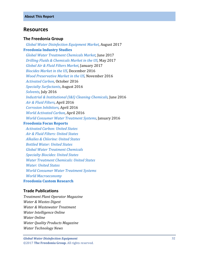### <span id="page-6-0"></span>**Resources**

#### **The Freedonia Group**

 *[Global Water Disinfection Equipment Market,](http://www.freedoniagroup.com/DocumentDetails.aspx?ReferrerId=FL-FOCUS&studyid=3563)* August 2017 **[Freedonia Industry Studies](http://www.freedoniagroup.com/Home.aspx?ReferrerId=FL-Focus)**  *[Global Water Treatment Chemicals Market,](http://www.freedoniagroup.com/DocumentDetails.aspx?ReferrerId=FL-FOCUS&studyid=3537)* June 2017  *[Drilling Fluids & Chemicals Market in the US,](http://www.freedoniagroup.com/DocumentDetails.aspx?ReferrerId=FL-FOCUS&studyid=3515)* May 2017  *[Global Air & Fluid Filters Market,](http://www.freedoniagroup.com/DocumentDetails.aspx?ReferrerId=FL-FOCUS&studyid=3443)* January 2017  *[Biocides Market in the US,](http://www.freedoniagroup.com/DocumentDetails.aspx?ReferrerId=FL-FOCUS&studyid=3457)* December 2016  *[Wood Preservative Market in the US,](http://www.freedoniagroup.com/DocumentDetails.aspx?ReferrerId=FL-FOCUS&studyid=3456)* November 2016  *[Activated Carbon,](http://www.freedoniagroup.com/DocumentDetails.aspx?ReferrerId=FL-FOCUS&studyid=3467)* October 2016  *[Specialty Surfactants,](http://www.freedoniagroup.com/DocumentDetails.aspx?ReferrerId=FL-FOCUS&studyid=3448)* August 2016  *[Solvents,](http://www.freedoniagroup.com/DocumentDetails.aspx?ReferrerId=FL-FOCUS&studyid=3429)* July 2016  *[Industrial & Institutional \(I&I\) Cleaning Chemicals,](http://www.freedoniagroup.com/DocumentDetails.aspx?ReferrerId=FL-FOCUS&studyid=3424)* June 2016  *[Air & Fluid Filters,](http://www.freedoniagroup.com/DocumentDetails.aspx?ReferrerId=FL-FOCUS&studyid=3379)* April 2016  *[Corrosion Inhibitors,](http://www.freedoniagroup.com/DocumentDetails.aspx?ReferrerId=FL-FOCUS&studyid=3409)* April 2016  *[World Activated Carbon,](http://www.freedoniagroup.com/DocumentDetails.aspx?ReferrerId=FL-FOCUS&studyid=3404)* April 2016  *[World Consumer Water Treatment Systems,](http://www.freedoniagroup.com/DocumentDetails.aspx?ReferrerId=FL-FOCUS&studyid=3360)* January 2016 **[Freedonia Focus Reports](https://www.freedoniafocusreports.com/redirect.asp?progid=89534&url=/)**  *[Activated Carbon: United States](https://www.freedoniafocusreports.com/Activated-Carbon-United-States-FF35050/) [Air & Fluid Filters: United States](https://www.freedoniafocusreports.com/Air-Fluid-Filters-United-States-FF70012/) [Alkalies & Chlorine: United States](https://www.freedoniafocusreports.com/Alkalies-Chlorine-United-States-FF35010/)*

 *[Bottled Water: United States](https://www.freedoniafocusreports.com/Bottled-Water-United-States-FF10011/)*

 *[Global Water Treatment Chemicals](https://www.freedoniafocusreports.com/Global-Water-Treatment-Chemicals-FW35039/)*

 *[Specialty Biocides: United States](https://www.freedoniafocusreports.com/Specialty-Biocides-United-States-FF35011/)*

 *[Water Treatment Chemicals: United States](https://www.freedoniafocusreports.com/Water-Treatment-Chemicals-United-States-FF35039/)*

 *[Water: United](https://www.freedoniafocusreports.com/Water-United-States-FF95025/) States*

 *[World Consumer Water Treatment Systems](https://www.freedoniafocusreports.com/World-Consumer-Water-Treatment-Systems-FW90023/)*

 *[World Macroeconomy](https://www.freedoniafocusreports.com/World-Macroeconomy-FW95051/)*

**[Freedonia Custom Research](http://www.freedoniagroup.com/CustomResearch.aspx?ReferrerId=FL-Focus)**

### **Trade Publications**

*Treatment Plant Operator Magazine Water & Wastes Digest Water & Wastewater Treatment Water Intelligence Online Water Online Water Quality Products Magazine Water Technology News*